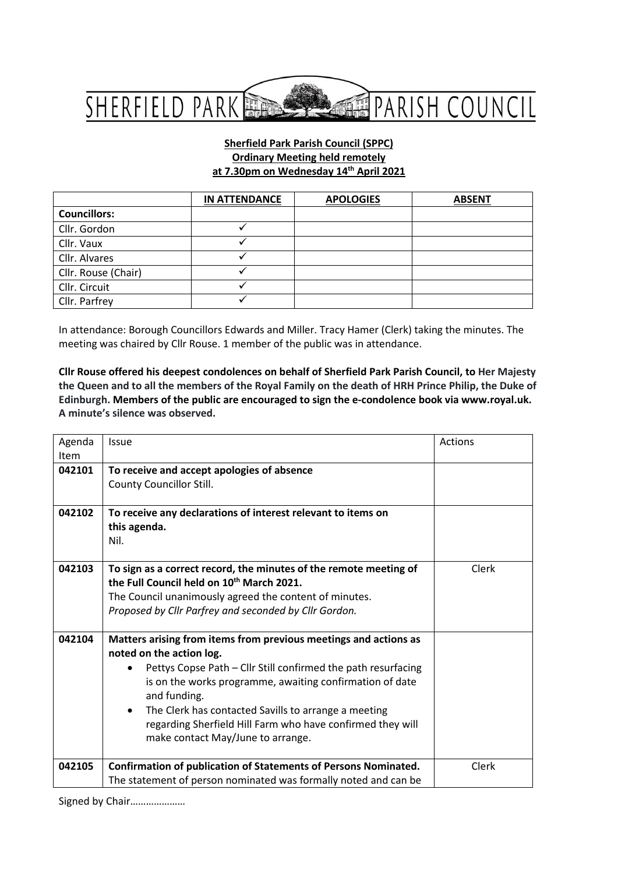

#### **Sherfield Park Parish Council (SPPC) Ordinary Meeting held remotely at 7.30pm on Wednesday 14 th April 2021**

|                     | <b>IN ATTENDANCE</b> | <b>APOLOGIES</b> | <b>ABSENT</b> |
|---------------------|----------------------|------------------|---------------|
| <b>Councillors:</b> |                      |                  |               |
| Cllr. Gordon        |                      |                  |               |
| Cllr. Vaux          |                      |                  |               |
| Cllr. Alvares       |                      |                  |               |
| Cllr. Rouse (Chair) |                      |                  |               |
| Cllr. Circuit       |                      |                  |               |
| Cllr. Parfrey       |                      |                  |               |

In attendance: Borough Councillors Edwards and Miller. Tracy Hamer (Clerk) taking the minutes. The meeting was chaired by Cllr Rouse. 1 member of the public was in attendance.

**Cllr Rouse offered his deepest condolences on behalf of Sherfield Park Parish Council, to Her Majesty the Queen and to all the members of the Royal Family on the death of HRH Prince Philip, the Duke of Edinburgh. Members of the public are encouraged to sign the e-condolence book via www.royal.uk. A minute's silence was observed.**

| Agenda<br>Item | <b>Issue</b>                                                                                                                                                                                                                                                                                                                                                                                                      | Actions |
|----------------|-------------------------------------------------------------------------------------------------------------------------------------------------------------------------------------------------------------------------------------------------------------------------------------------------------------------------------------------------------------------------------------------------------------------|---------|
| 042101         | To receive and accept apologies of absence<br>County Councillor Still.                                                                                                                                                                                                                                                                                                                                            |         |
| 042102         | To receive any declarations of interest relevant to items on<br>this agenda.<br>Nil.                                                                                                                                                                                                                                                                                                                              |         |
| 042103         | To sign as a correct record, the minutes of the remote meeting of<br>the Full Council held on 10th March 2021.<br>The Council unanimously agreed the content of minutes.<br>Proposed by Cllr Parfrey and seconded by Cllr Gordon.                                                                                                                                                                                 | Clerk   |
| 042104         | Matters arising from items from previous meetings and actions as<br>noted on the action log.<br>Pettys Copse Path - Cllr Still confirmed the path resurfacing<br>is on the works programme, awaiting confirmation of date<br>and funding.<br>The Clerk has contacted Savills to arrange a meeting<br>$\bullet$<br>regarding Sherfield Hill Farm who have confirmed they will<br>make contact May/June to arrange. |         |
| 042105         | <b>Confirmation of publication of Statements of Persons Nominated.</b><br>The statement of person nominated was formally noted and can be                                                                                                                                                                                                                                                                         | Clerk   |

Signed by Chair…………………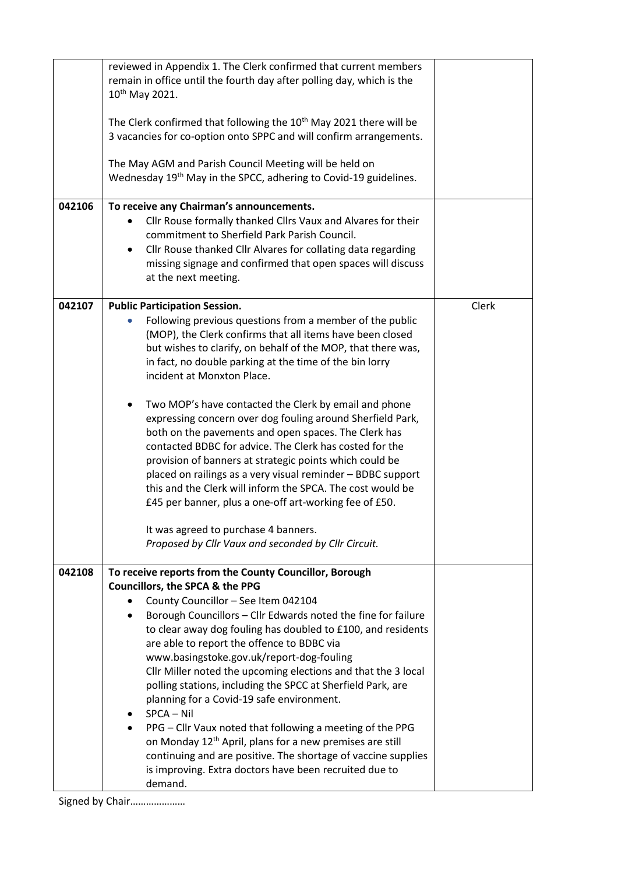| 042106 | reviewed in Appendix 1. The Clerk confirmed that current members<br>remain in office until the fourth day after polling day, which is the<br>10 <sup>th</sup> May 2021.<br>The Clerk confirmed that following the 10 <sup>th</sup> May 2021 there will be<br>3 vacancies for co-option onto SPPC and will confirm arrangements.<br>The May AGM and Parish Council Meeting will be held on<br>Wednesday 19 <sup>th</sup> May in the SPCC, adhering to Covid-19 guidelines.<br>To receive any Chairman's announcements.<br>Cllr Rouse formally thanked Cllrs Vaux and Alvares for their<br>$\bullet$<br>commitment to Sherfield Park Parish Council.<br>Cllr Rouse thanked Cllr Alvares for collating data regarding<br>missing signage and confirmed that open spaces will discuss<br>at the next meeting. |       |
|--------|-----------------------------------------------------------------------------------------------------------------------------------------------------------------------------------------------------------------------------------------------------------------------------------------------------------------------------------------------------------------------------------------------------------------------------------------------------------------------------------------------------------------------------------------------------------------------------------------------------------------------------------------------------------------------------------------------------------------------------------------------------------------------------------------------------------|-------|
| 042107 | <b>Public Participation Session.</b>                                                                                                                                                                                                                                                                                                                                                                                                                                                                                                                                                                                                                                                                                                                                                                      | Clerk |
|        | Following previous questions from a member of the public<br>(MOP), the Clerk confirms that all items have been closed<br>but wishes to clarify, on behalf of the MOP, that there was,<br>in fact, no double parking at the time of the bin lorry<br>incident at Monxton Place.                                                                                                                                                                                                                                                                                                                                                                                                                                                                                                                            |       |
|        | Two MOP's have contacted the Clerk by email and phone<br>expressing concern over dog fouling around Sherfield Park,<br>both on the pavements and open spaces. The Clerk has<br>contacted BDBC for advice. The Clerk has costed for the<br>provision of banners at strategic points which could be<br>placed on railings as a very visual reminder - BDBC support<br>this and the Clerk will inform the SPCA. The cost would be<br>£45 per banner, plus a one-off art-working fee of £50.<br>It was agreed to purchase 4 banners.<br>Proposed by Cllr Vaux and seconded by Cllr Circuit.                                                                                                                                                                                                                   |       |
| 042108 | To receive reports from the County Councillor, Borough                                                                                                                                                                                                                                                                                                                                                                                                                                                                                                                                                                                                                                                                                                                                                    |       |
|        | Councillors, the SPCA & the PPG                                                                                                                                                                                                                                                                                                                                                                                                                                                                                                                                                                                                                                                                                                                                                                           |       |
|        | County Councillor - See Item 042104<br>٠<br>Borough Councillors - Cllr Edwards noted the fine for failure<br>٠<br>to clear away dog fouling has doubled to £100, and residents<br>are able to report the offence to BDBC via<br>www.basingstoke.gov.uk/report-dog-fouling<br>Cllr Miller noted the upcoming elections and that the 3 local<br>polling stations, including the SPCC at Sherfield Park, are<br>planning for a Covid-19 safe environment.<br>SPCA - Nil                                                                                                                                                                                                                                                                                                                                      |       |
|        | PPG - Cllr Vaux noted that following a meeting of the PPG<br>on Monday 12 <sup>th</sup> April, plans for a new premises are still<br>continuing and are positive. The shortage of vaccine supplies<br>is improving. Extra doctors have been recruited due to<br>demand.                                                                                                                                                                                                                                                                                                                                                                                                                                                                                                                                   |       |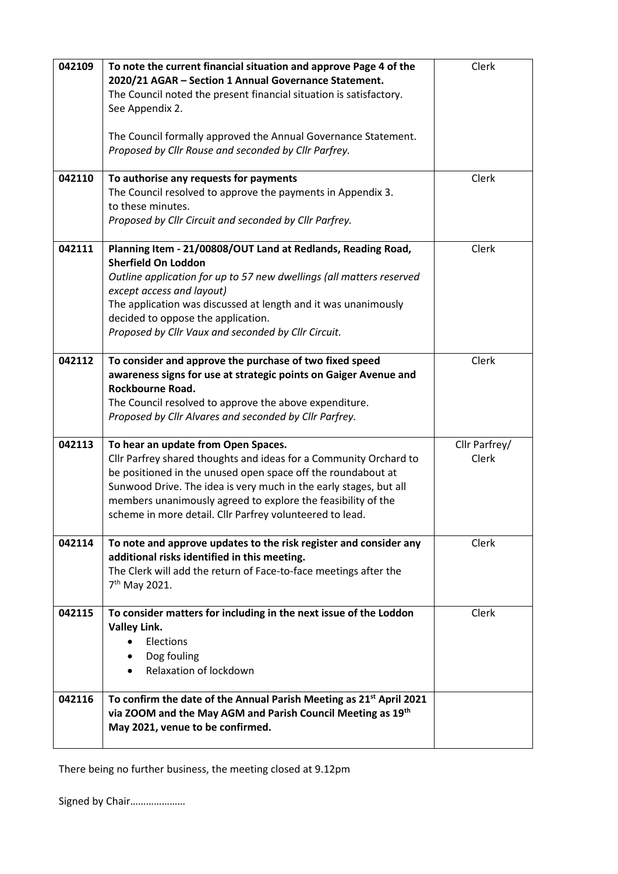| 042109 | To note the current financial situation and approve Page 4 of the<br>2020/21 AGAR - Section 1 Annual Governance Statement.<br>The Council noted the present financial situation is satisfactory.<br>See Appendix 2.                                                                                                                                                       | Clerk                  |
|--------|---------------------------------------------------------------------------------------------------------------------------------------------------------------------------------------------------------------------------------------------------------------------------------------------------------------------------------------------------------------------------|------------------------|
|        | The Council formally approved the Annual Governance Statement.<br>Proposed by Cllr Rouse and seconded by Cllr Parfrey.                                                                                                                                                                                                                                                    |                        |
| 042110 | To authorise any requests for payments<br>The Council resolved to approve the payments in Appendix 3.<br>to these minutes.<br>Proposed by Cllr Circuit and seconded by Cllr Parfrey.                                                                                                                                                                                      | Clerk                  |
| 042111 | Planning Item - 21/00808/OUT Land at Redlands, Reading Road,<br><b>Sherfield On Loddon</b><br>Outline application for up to 57 new dwellings (all matters reserved<br>except access and layout)<br>The application was discussed at length and it was unanimously<br>decided to oppose the application.<br>Proposed by Cllr Vaux and seconded by Cllr Circuit.            | Clerk                  |
| 042112 | To consider and approve the purchase of two fixed speed<br>awareness signs for use at strategic points on Gaiger Avenue and<br>Rockbourne Road.<br>The Council resolved to approve the above expenditure.<br>Proposed by Cllr Alvares and seconded by Cllr Parfrey.                                                                                                       | Clerk                  |
| 042113 | To hear an update from Open Spaces.<br>Cllr Parfrey shared thoughts and ideas for a Community Orchard to<br>be positioned in the unused open space off the roundabout at<br>Sunwood Drive. The idea is very much in the early stages, but all<br>members unanimously agreed to explore the feasibility of the<br>scheme in more detail. Cllr Parfrey volunteered to lead. | Cllr Parfrey/<br>Clerk |
| 042114 | To note and approve updates to the risk register and consider any<br>additional risks identified in this meeting.<br>The Clerk will add the return of Face-to-face meetings after the<br>7 <sup>th</sup> May 2021.                                                                                                                                                        | Clerk                  |
| 042115 | To consider matters for including in the next issue of the Loddon<br><b>Valley Link.</b><br>Elections<br>Dog fouling<br>Relaxation of lockdown                                                                                                                                                                                                                            | Clerk                  |
| 042116 | To confirm the date of the Annual Parish Meeting as 21 <sup>st</sup> April 2021<br>via ZOOM and the May AGM and Parish Council Meeting as 19th<br>May 2021, venue to be confirmed.                                                                                                                                                                                        |                        |

There being no further business, the meeting closed at 9.12pm

Signed by Chair…………………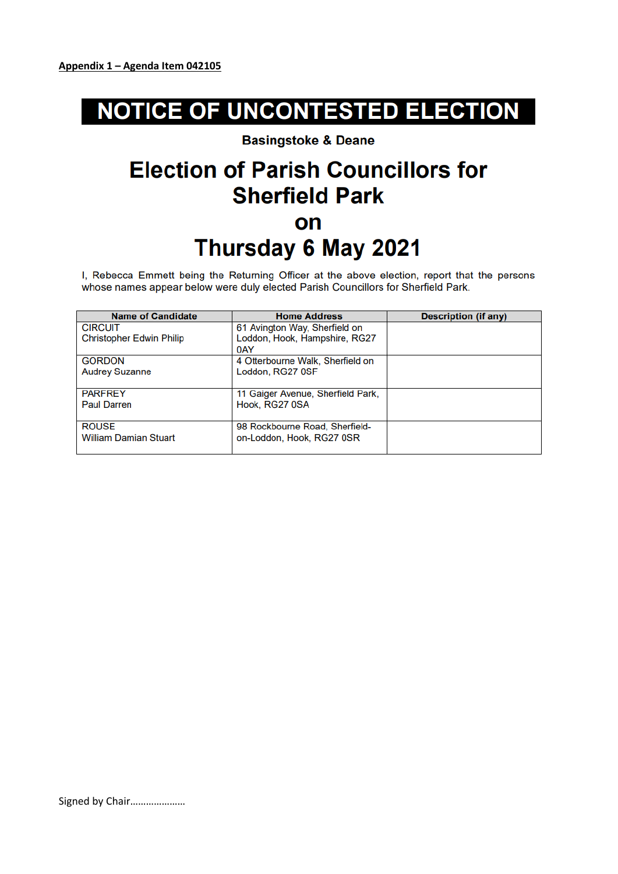# **NOTICE OF UNCONTESTED ELECTION**

### **Basingstoke & Deane**

## **Election of Parish Councillors for Sherfield Park** on Thursday 6 May 2021

I, Rebecca Emmett being the Returning Officer at the above election, report that the persons whose names appear below were duly elected Parish Councillors for Sherfield Park.

| <b>Name of Candidate</b>        | <b>Home Address</b>               | <b>Description (if any)</b> |
|---------------------------------|-----------------------------------|-----------------------------|
| <b>CIRCUIT</b>                  | 61 Avington Way, Sherfield on     |                             |
| <b>Christopher Edwin Philip</b> | Loddon, Hook, Hampshire, RG27     |                             |
|                                 | 0AY                               |                             |
| <b>GORDON</b>                   | 4 Otterbourne Walk, Sherfield on  |                             |
| <b>Audrey Suzanne</b>           | Loddon, RG27 0SF                  |                             |
|                                 |                                   |                             |
| <b>PARFREY</b>                  | 11 Gaiger Avenue, Sherfield Park, |                             |
| <b>Paul Darren</b>              | Hook, RG27 0SA                    |                             |
|                                 |                                   |                             |
| <b>ROUSE</b>                    | 98 Rockbourne Road, Sherfield-    |                             |
| <b>William Damian Stuart</b>    | on-Loddon, Hook, RG27 0SR         |                             |
|                                 |                                   |                             |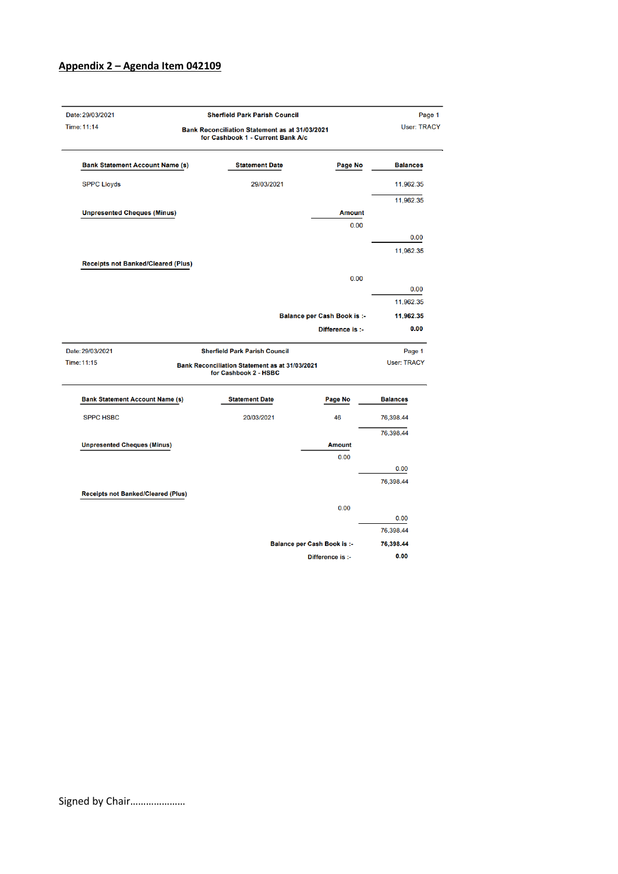### Appendix 2 - Agenda Item 042109

|                                           | <b>Sherfield Park Parish Council</b>                                                |                                    | Page 1             |
|-------------------------------------------|-------------------------------------------------------------------------------------|------------------------------------|--------------------|
| Time: 11:14                               | Bank Reconciliation Statement as at 31/03/2021<br>for Cashbook 1 - Current Bank A/c |                                    |                    |
| <b>Bank Statement Account Name (s)</b>    | <b>Statement Date</b>                                                               | Page No                            | <b>Balances</b>    |
| <b>SPPC Lloyds</b>                        | 29/03/2021                                                                          |                                    | 11,962.35          |
|                                           |                                                                                     |                                    | 11,962.35          |
| <b>Unpresented Cheques (Minus)</b>        |                                                                                     | <b>Amount</b>                      |                    |
|                                           |                                                                                     | 0.00                               |                    |
|                                           |                                                                                     |                                    | 0.00               |
|                                           |                                                                                     |                                    | 11,962.35          |
| <b>Receipts not Banked/Cleared (Plus)</b> |                                                                                     |                                    |                    |
|                                           |                                                                                     | 0.00                               |                    |
|                                           |                                                                                     |                                    | 0.00               |
|                                           |                                                                                     |                                    | 11,962.35          |
|                                           |                                                                                     | <b>Balance per Cash Book is :-</b> | 11,962.35          |
|                                           |                                                                                     | Difference is :-                   | 0.00               |
| Date: 29/03/2021                          | <b>Sherfield Park Parish Council</b>                                                |                                    | Page 1             |
| Time: 11:15                               | Bank Reconciliation Statement as at 31/03/2021<br>for Cashbook 2 - HSBC             |                                    | <b>User: TRACY</b> |
| <b>Bank Statement Account Name (s)</b>    | <b>Statement Date</b>                                                               | Page No                            | <b>Balances</b>    |
| <b>SPPC HSBC</b>                          | 20/03/2021                                                                          | 46                                 | 76,398.44          |
|                                           |                                                                                     |                                    | 76,398.44          |
|                                           |                                                                                     |                                    |                    |
| <b>Unpresented Cheques (Minus)</b>        |                                                                                     | <b>Amount</b>                      |                    |
|                                           |                                                                                     | 0.00                               |                    |
|                                           |                                                                                     |                                    | 0.00               |
|                                           |                                                                                     |                                    | 76,398.44          |
| <b>Receipts not Banked/Cleared (Plus)</b> |                                                                                     |                                    |                    |
|                                           |                                                                                     | 0.00                               |                    |
|                                           |                                                                                     |                                    | 0.00<br>76,398.44  |
|                                           |                                                                                     | <b>Balance per Cash Book is :-</b> | 76,398.44          |

Signed by Chair.....................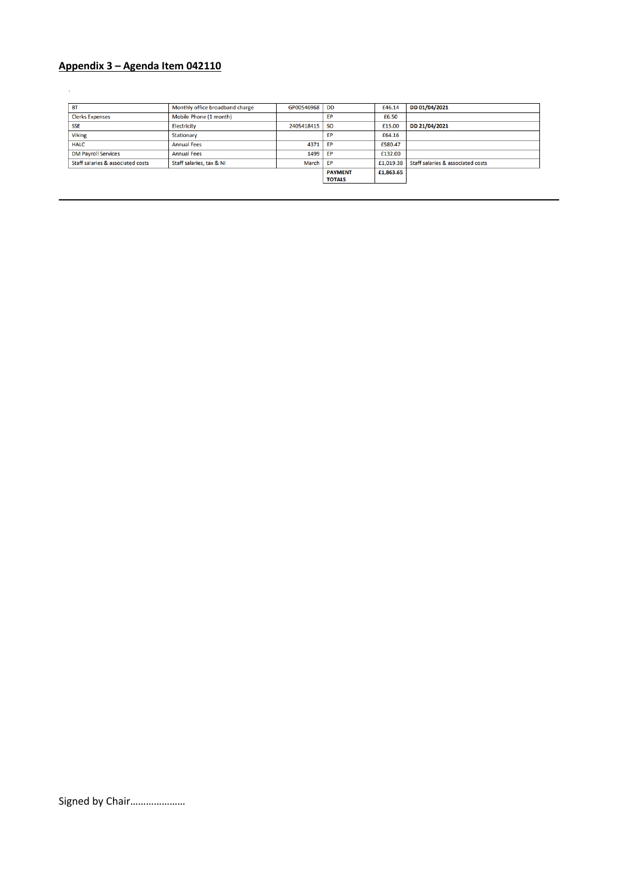### Appendix 3 - Agenda Item 042110

 $\mathcal{A}$ 

| <b>BT</b>                         | Monthly office broadband charge | GP00546968 | DD             | £46.14    | DD 01/04/2021                     |
|-----------------------------------|---------------------------------|------------|----------------|-----------|-----------------------------------|
| <b>Clerks Expenses</b>            | Mobile Phone (1 month)          |            | <b>FP</b>      | £6.50     |                                   |
| <b>SSE</b>                        | <b>Electricity</b>              | 2405418415 | <sub>SO</sub>  | £15.00    | DD 21/04/2021                     |
| <b>Viking</b>                     | Stationary                      |            | <b>FP</b>      | £64.16    |                                   |
| <b>HALC</b>                       | <b>Annual Fees</b>              | 4371       | EP             | £580.47   |                                   |
| <b>DM Payroll Services</b>        | <b>Annual Fees</b>              | 1499       | ЕP             | £132.00   |                                   |
| Staff salaries & associated costs | Staff salaries, tax & NI        | March      | EP             | £1,019.38 | Staff salaries & associated costs |
|                                   |                                 |            | <b>PAYMENT</b> | £1,863.65 |                                   |
|                                   |                                 |            | <b>TOTALS</b>  |           |                                   |

Signed by Chair.....................